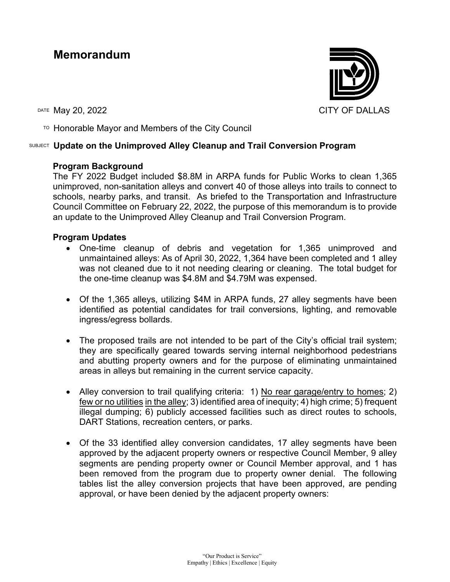# **Memorandum**

 $\overline{P}$  Honorable Mayor and Members of the City Council

## SUBJECT **Update on the Unimproved Alley Cleanup and Trail Conversion Program**

### **Program Background**

The FY 2022 Budget included \$8.8M in ARPA funds for Public Works to clean 1,365 unimproved, non-sanitation alleys and convert 40 of those alleys into trails to connect to schools, nearby parks, and transit. As briefed to the Transportation and Infrastructure Council Committee on February 22, 2022, the purpose of this memorandum is to provide an update to the Unimproved Alley Cleanup and Trail Conversion Program.

## **Program Updates**

- One-time cleanup of debris and vegetation for 1,365 unimproved and unmaintained alleys: As of April 30, 2022, 1,364 have been completed and 1 alley was not cleaned due to it not needing clearing or cleaning. The total budget for the one-time cleanup was \$4.8M and \$4.79M was expensed.
- Of the 1,365 alleys, utilizing \$4M in ARPA funds, 27 alley segments have been identified as potential candidates for trail conversions, lighting, and removable ingress/egress bollards.
- The proposed trails are not intended to be part of the City's official trail system; they are specifically geared towards serving internal neighborhood pedestrians and abutting property owners and for the purpose of eliminating unmaintained areas in alleys but remaining in the current service capacity.
- Alley conversion to trail qualifying criteria: 1) No rear garage/entry to homes; 2) few or no utilities in the alley; 3) identified area of inequity; 4) high crime; 5) frequent illegal dumping; 6) publicly accessed facilities such as direct routes to schools, DART Stations, recreation centers, or parks.
- Of the 33 identified alley conversion candidates, 17 alley segments have been approved by the adjacent property owners or respective Council Member, 9 alley segments are pending property owner or Council Member approval, and 1 has been removed from the program due to property owner denial. The following tables list the alley conversion projects that have been approved, are pending approval, or have been denied by the adjacent property owners:

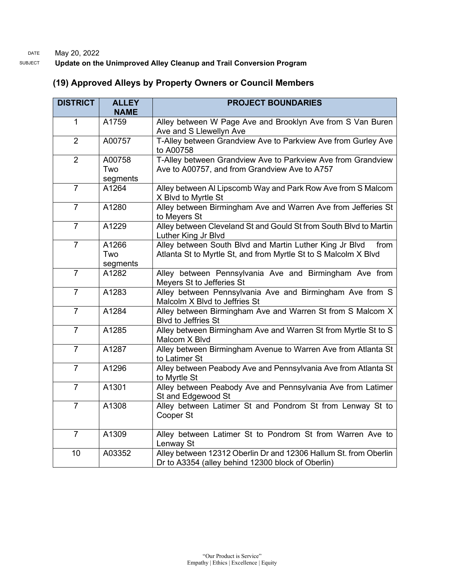#### DATE May 20, 2022 SUBJECT **Update on the Unimproved Alley Cleanup and Trail Conversion Program**

| <b>DISTRICT</b> | <b>ALLEY</b><br><b>NAME</b> | <b>PROJECT BOUNDARIES</b>                                                                                                          |
|-----------------|-----------------------------|------------------------------------------------------------------------------------------------------------------------------------|
| 1               | A1759                       | Alley between W Page Ave and Brooklyn Ave from S Van Buren<br>Ave and S Llewellyn Ave                                              |
| $\overline{2}$  | A00757                      | T-Alley between Grandview Ave to Parkview Ave from Gurley Ave<br>to A00758                                                         |
| $\overline{2}$  | A00758<br>Two<br>segments   | T-Alley between Grandview Ave to Parkview Ave from Grandview<br>Ave to A00757, and from Grandview Ave to A757                      |
| $\overline{7}$  | A1264                       | Alley between Al Lipscomb Way and Park Row Ave from S Malcom<br>X Blvd to Myrtle St                                                |
| $\overline{7}$  | A1280                       | Alley between Birmingham Ave and Warren Ave from Jefferies St<br>to Meyers St                                                      |
| $\overline{7}$  | A1229                       | Alley between Cleveland St and Gould St from South Blvd to Martin<br>Luther King Jr Blvd                                           |
| $\overline{7}$  | A1266<br>Two<br>segments    | Alley between South Blvd and Martin Luther King Jr Blvd<br>from<br>Atlanta St to Myrtle St, and from Myrtle St to S Malcolm X Blvd |
| $\overline{7}$  | A1282                       | Alley between Pennsylvania Ave and Birmingham Ave from<br>Meyers St to Jefferies St                                                |
| $\overline{7}$  | A1283                       | Alley between Pennsylvania Ave and Birmingham Ave from S<br>Malcolm X Blvd to Jeffries St                                          |
| $\overline{7}$  | A1284                       | Alley between Birmingham Ave and Warren St from S Malcom X<br><b>Blvd to Jeffries St</b>                                           |
| $\overline{7}$  | A1285                       | Alley between Birmingham Ave and Warren St from Myrtle St to S<br>Malcom X Blvd                                                    |
| $\overline{7}$  | A1287                       | Alley between Birmingham Avenue to Warren Ave from Atlanta St<br>to Latimer St                                                     |
| $\overline{7}$  | A1296                       | Alley between Peabody Ave and Pennsylvania Ave from Atlanta St<br>to Myrtle St                                                     |
| $\overline{7}$  | A1301                       | Alley between Peabody Ave and Pennsylvania Ave from Latimer<br>St and Edgewood St                                                  |
| $\overline{7}$  | A1308                       | Alley between Latimer St and Pondrom St from Lenway St to<br>Cooper St                                                             |
| $\overline{7}$  | A1309                       | Alley between Latimer St to Pondrom St from Warren Ave to<br>Lenway St                                                             |
| 10              | A03352                      | Alley between 12312 Oberlin Dr and 12306 Hallum St. from Oberlin<br>Dr to A3354 (alley behind 12300 block of Oberlin)              |

## **(19) Approved Alleys by Property Owners or Council Members**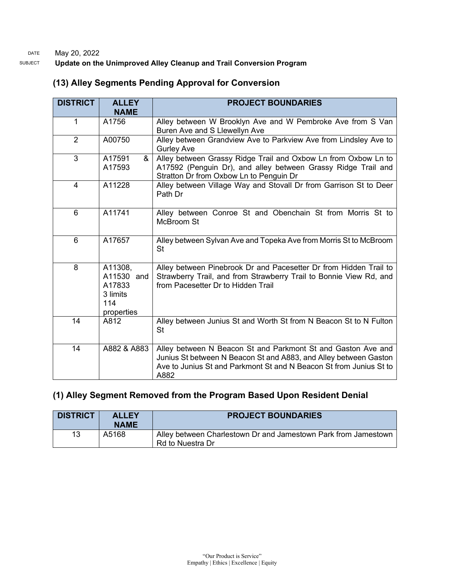#### DATE May 20, 2022 SUBJECT **Update on the Unimproved Alley Cleanup and Trail Conversion Program**

| <b>DISTRICT</b> | <b>ALLEY</b>                                                     | <b>PROJECT BOUNDARIES</b>                                                                                                                                                                                      |
|-----------------|------------------------------------------------------------------|----------------------------------------------------------------------------------------------------------------------------------------------------------------------------------------------------------------|
|                 | <b>NAME</b>                                                      |                                                                                                                                                                                                                |
| 1               | A1756                                                            | Alley between W Brooklyn Ave and W Pembroke Ave from S Van<br>Buren Ave and S Llewellyn Ave                                                                                                                    |
| $\overline{2}$  | A00750                                                           | Alley between Grandview Ave to Parkview Ave from Lindsley Ave to<br><b>Gurley Ave</b>                                                                                                                          |
| 3               | A17591<br>&<br>A17593                                            | Alley between Grassy Ridge Trail and Oxbow Ln from Oxbow Ln to<br>A17592 (Penguin Dr), and alley between Grassy Ridge Trail and<br>Stratton Dr from Oxbow Ln to Penguin Dr                                     |
| 4               | A11228                                                           | Alley between Village Way and Stovall Dr from Garrison St to Deer<br>Path Dr                                                                                                                                   |
| $6\phantom{1}$  | A11741                                                           | Alley between Conroe St and Obenchain St from Morris St to<br><b>McBroom St</b>                                                                                                                                |
| 6               | A17657                                                           | Alley between Sylvan Ave and Topeka Ave from Morris St to McBroom<br>St                                                                                                                                        |
| 8               | A11308,<br>A11530 and<br>A17833<br>3 limits<br>114<br>properties | Alley between Pinebrook Dr and Pacesetter Dr from Hidden Trail to<br>Strawberry Trail, and from Strawberry Trail to Bonnie View Rd, and<br>from Pacesetter Dr to Hidden Trail                                  |
| 14              | A812                                                             | Alley between Junius St and Worth St from N Beacon St to N Fulton<br><b>St</b>                                                                                                                                 |
| 14              | A882 & A883                                                      | Alley between N Beacon St and Parkmont St and Gaston Ave and<br>Junius St between N Beacon St and A883, and Alley between Gaston<br>Ave to Junius St and Parkmont St and N Beacon St from Junius St to<br>A882 |

## **(13) Alley Segments Pending Approval for Conversion**

## **(1) Alley Segment Removed from the Program Based Upon Resident Denial**

| <b>DISTRICT</b> | <b>ALLEY</b><br><b>NAME</b> | <b>PROJECT BOUNDARIES</b>                                                          |
|-----------------|-----------------------------|------------------------------------------------------------------------------------|
| 13              | A5168                       | Alley between Charlestown Dr and Jamestown Park from Jamestown<br>Rd to Nuestra Dr |